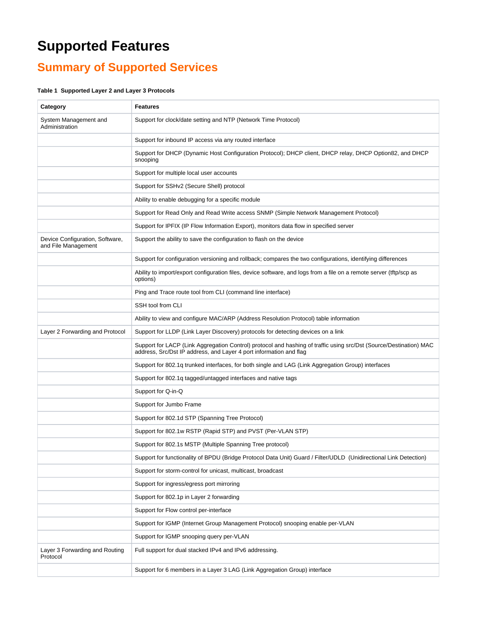## **Supported Features**

## **Summary of Supported Services**

## **Table 1 Supported Layer 2 and Layer 3 Protocols**

| Category                                               | <b>Features</b>                                                                                                                                                                          |
|--------------------------------------------------------|------------------------------------------------------------------------------------------------------------------------------------------------------------------------------------------|
| System Management and<br>Administration                | Support for clock/date setting and NTP (Network Time Protocol)                                                                                                                           |
|                                                        | Support for inbound IP access via any routed interface                                                                                                                                   |
|                                                        | Support for DHCP (Dynamic Host Configuration Protocol); DHCP client, DHCP relay, DHCP Option82, and DHCP<br>snooping                                                                     |
|                                                        | Support for multiple local user accounts                                                                                                                                                 |
|                                                        | Support for SSHv2 (Secure Shell) protocol                                                                                                                                                |
|                                                        | Ability to enable debugging for a specific module                                                                                                                                        |
|                                                        | Support for Read Only and Read Write access SNMP (Simple Network Management Protocol)                                                                                                    |
|                                                        | Support for IPFIX (IP Flow Information Export), monitors data flow in specified server                                                                                                   |
| Device Configuration, Software,<br>and File Management | Support the ability to save the configuration to flash on the device                                                                                                                     |
|                                                        | Support for configuration versioning and rollback; compares the two configurations, identifying differences                                                                              |
|                                                        | Ability to import/export configuration files, device software, and logs from a file on a remote server (tftp/scp as<br>options)                                                          |
|                                                        | Ping and Trace route tool from CLI (command line interface)                                                                                                                              |
|                                                        | SSH tool from CLI                                                                                                                                                                        |
|                                                        | Ability to view and configure MAC/ARP (Address Resolution Protocol) table information                                                                                                    |
| Layer 2 Forwarding and Protocol                        | Support for LLDP (Link Layer Discovery) protocols for detecting devices on a link                                                                                                        |
|                                                        | Support for LACP (Link Aggregation Control) protocol and hashing of traffic using src/Dst (Source/Destination) MAC<br>address, Src/Dst IP address, and Layer 4 port information and flag |
|                                                        | Support for 802.1q trunked interfaces, for both single and LAG (Link Aggregation Group) interfaces                                                                                       |
|                                                        | Support for 802.1q tagged/untagged interfaces and native tags                                                                                                                            |
|                                                        | Support for Q-in-Q                                                                                                                                                                       |
|                                                        | Support for Jumbo Frame                                                                                                                                                                  |
|                                                        | Support for 802.1d STP (Spanning Tree Protocol)                                                                                                                                          |
|                                                        | Support for 802.1w RSTP (Rapid STP) and PVST (Per-VLAN STP)                                                                                                                              |
|                                                        | Support for 802.1s MSTP (Multiple Spanning Tree protocol)                                                                                                                                |
|                                                        | Support for functionality of BPDU (Bridge Protocol Data Unit) Guard / Filter/UDLD (Unidirectional Link Detection)                                                                        |
|                                                        | Support for storm-control for unicast, multicast, broadcast                                                                                                                              |
|                                                        | Support for ingress/egress port mirroring                                                                                                                                                |
|                                                        | Support for 802.1p in Layer 2 forwarding                                                                                                                                                 |
|                                                        | Support for Flow control per-interface                                                                                                                                                   |
|                                                        | Support for IGMP (Internet Group Management Protocol) snooping enable per-VLAN                                                                                                           |
|                                                        | Support for IGMP snooping query per-VLAN                                                                                                                                                 |
| Layer 3 Forwarding and Routing<br>Protocol             | Full support for dual stacked IPv4 and IPv6 addressing.                                                                                                                                  |
|                                                        | Support for 6 members in a Layer 3 LAG (Link Aggregation Group) interface                                                                                                                |